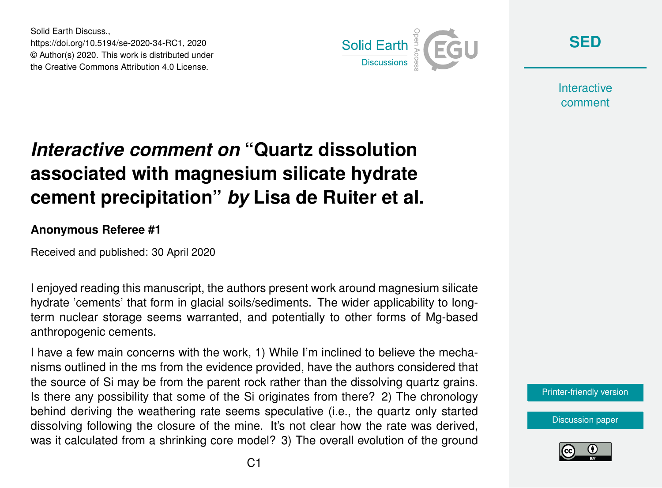Solid Earth Discuss., https://doi.org/10.5194/se-2020-34-RC1, 2020 © Author(s) 2020. This work is distributed under the Creative Commons Attribution 4.0 License.



**[SED](https://www.solid-earth-discuss.net/)**

**Interactive** comment

## *Interactive comment on* **"Quartz dissolution associated with magnesium silicate hydrate cement precipitation"** *by* **Lisa de Ruiter et al.**

## **Anonymous Referee #1**

Received and published: 30 April 2020

I enjoyed reading this manuscript, the authors present work around magnesium silicate hydrate 'cements' that form in glacial soils/sediments. The wider applicability to longterm nuclear storage seems warranted, and potentially to other forms of Mg-based anthropogenic cements.

I have a few main concerns with the work, 1) While I'm inclined to believe the mechanisms outlined in the ms from the evidence provided, have the authors considered that the source of Si may be from the parent rock rather than the dissolving quartz grains. Is there any possibility that some of the Si originates from there? 2) The chronology behind deriving the weathering rate seems speculative (i.e., the quartz only started dissolving following the closure of the mine. It's not clear how the rate was derived, was it calculated from a shrinking core model? 3) The overall evolution of the ground



[Discussion paper](https://www.solid-earth-discuss.net/se-2020-34)